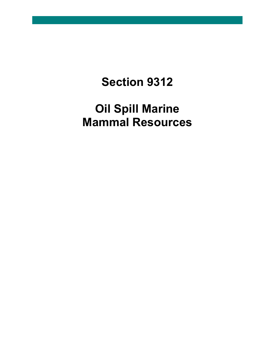# **Section 9312**

# **Oil Spill Marine Mammal Resources**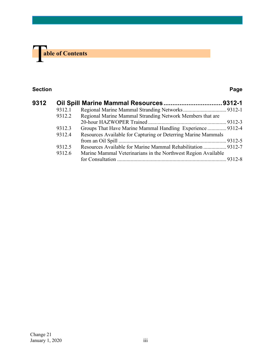

#### **Section Page**

| 9312 |        |                                                               |  |
|------|--------|---------------------------------------------------------------|--|
|      | 9312.1 |                                                               |  |
|      | 9312.2 | Regional Marine Mammal Stranding Network Members that are     |  |
|      |        |                                                               |  |
|      | 9312.3 | Groups That Have Marine Mammal Handling Experience  9312-4    |  |
|      | 9312.4 | Resources Available for Capturing or Deterring Marine Mammals |  |
|      |        |                                                               |  |
|      | 9312.5 | Resources Available for Marine Mammal Rehabilitation  9312-7  |  |
|      | 9312.6 | Marine Mammal Veterinarians in the Northwest Region Available |  |
|      |        |                                                               |  |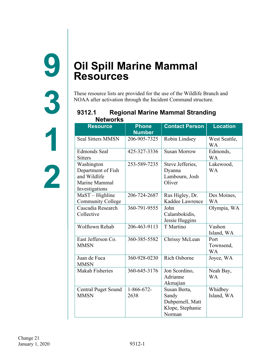<span id="page-2-0"></span>**9**

**3**

**1**

## <span id="page-2-1"></span>**Oil Spill Marine Mammal Resources**

These resource lists are provided for the use of the Wildlife Branch and NOAA after activation through the Incident Command structure.

#### <span id="page-2-2"></span>**9312.1 Regional Marine Mammal Stranding Networks Resource Phone Contact Person Location**

| <b>Resource</b>                                                                     | <u>Liinis</u><br><b>Number</b> | GUILLAUL FEISUIT                                                        | LOCALION                       |
|-------------------------------------------------------------------------------------|--------------------------------|-------------------------------------------------------------------------|--------------------------------|
| <b>Seal Sitters MMSN</b>                                                            | 206-905-7325                   | Robin Lindsey                                                           | West Seattle,<br>WA            |
| <b>Edmonds Seal</b><br><b>Sitters</b>                                               | 425-327-3336                   | <b>Susan Morrow</b>                                                     | Edmonds,<br>WA                 |
| Washington<br>Department of Fish<br>and Wildlife<br>Marine Mammal<br>Investigations | 253-589-7235                   | Steve Jefferies,<br>Dyanna<br>Lambourn, Josh<br>Oliver                  | Lakewood,<br><b>WA</b>         |
| $MaST - High line$<br><b>Community College</b>                                      | 206-724-2687                   | Rus Higley, Dr.<br>Kaddee Lawrence                                      | Des Moines,<br>WA              |
| Cascadia Research<br>Collective                                                     | 360-791-9555                   | John<br>Calambokidis,<br>Jessie Huggins                                 | Olympia, WA                    |
| <b>Wolftown Rehab</b>                                                               | 206-463-9113                   | T Martino                                                               | Vashon<br>Island, WA           |
| East Jefferson Co.<br><b>MMSN</b>                                                   | 360-385-5582                   | Chrissy McLean                                                          | Port<br>Townsend,<br><b>WA</b> |
| Juan de Fuca<br><b>MMSN</b>                                                         | 360-928-0230                   | Rich Osborne                                                            | Joyce, WA                      |
| Makah Fisheries                                                                     | 360-645-3176                   | Jon Scordino,<br>Adrianne<br>Akmajian                                   | Neah Bay,<br><b>WA</b>         |
| <b>Central Puget Sound</b><br><b>MMSN</b>                                           | $1 - 866 - 672 -$<br>2638      | Susan Berta,<br>Sandy<br>Dubpernell, Matt<br>Klope, Stephanie<br>Norman | Whidbey<br>Island, WA          |

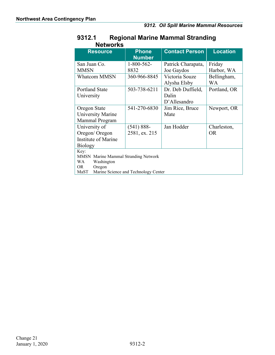| <b>Networks</b>                              |                               |                       |                 |  |  |
|----------------------------------------------|-------------------------------|-----------------------|-----------------|--|--|
| <b>Resource</b>                              | <b>Phone</b><br><b>Number</b> | <b>Contact Person</b> | <b>Location</b> |  |  |
| San Juan Co.                                 | $1 - 800 - 562 -$             | Patrick Charapata,    | Friday          |  |  |
| <b>MMSN</b>                                  | 8832                          | Joe Gaydos            | Harbor, WA      |  |  |
| <b>Whatcom MMSN</b>                          | 360-966-8845                  | Victoria Souze        | Bellingham,     |  |  |
|                                              |                               | Alysha Elsby          | <b>WA</b>       |  |  |
| <b>Portland State</b>                        | 503-738-6211                  | Dr. Deb Duffield,     | Portland, OR    |  |  |
| University                                   |                               | Dalin                 |                 |  |  |
|                                              |                               | D'Allesandro          |                 |  |  |
| Oregon State                                 | 541-270-6830                  | Jim Rice, Bruce       | Newport, OR     |  |  |
| <b>University Marine</b>                     |                               | Mate                  |                 |  |  |
| Mammal Program                               |                               |                       |                 |  |  |
| University of                                | $(541) 888 -$                 | Jan Hodder            | Charleston,     |  |  |
| Oregon/Oregon                                | 2581, ex. 215                 |                       | <b>OR</b>       |  |  |
| Institute of Marine                          |                               |                       |                 |  |  |
| <b>Biology</b>                               |                               |                       |                 |  |  |
| Key:                                         |                               |                       |                 |  |  |
| MMSN Marine Mammal Stranding Network         |                               |                       |                 |  |  |
| WA<br>Washington<br>Oregon<br>OR             |                               |                       |                 |  |  |
| MaST<br>Marine Science and Technology Center |                               |                       |                 |  |  |

# **9312.1 Regional Marine Mammal Stranding**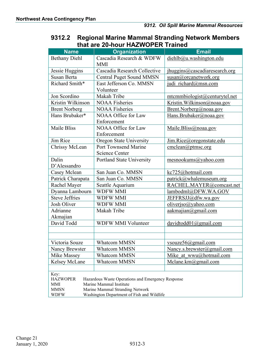### <span id="page-4-0"></span>**9312.2 Regional Marine Mammal Stranding Network Members that are 20-hour HAZWOPER Trained**

| <b>Name</b>                                               | <b>Organization</b>                                                          | Email                         |  |  |  |
|-----------------------------------------------------------|------------------------------------------------------------------------------|-------------------------------|--|--|--|
| <b>Bethany Diehl</b>                                      | Cascadia Research & WDFW                                                     | diehlb@u.washington.edu       |  |  |  |
|                                                           | <b>MMI</b>                                                                   |                               |  |  |  |
| Jessie Huggins                                            | Cascadia Research Collective                                                 | jhuggins@cascadiaresearch.org |  |  |  |
| Susan Berta                                               | <b>Central Puget Sound MMSN</b>                                              | susan@orcanetwork.org         |  |  |  |
| Richard Smith*                                            | East Jefferson Co. MMSN                                                      | judi richard@msn.com          |  |  |  |
|                                                           | Volunteer                                                                    |                               |  |  |  |
| Jon Scordino                                              | Makah Tribe                                                                  | mtcmmbiologist@centurytel.net |  |  |  |
| Kristin Wilkinson                                         | <b>NOAA Fisheries</b>                                                        | Kristin. Wilkinson@noaa.gov   |  |  |  |
| <b>Brent Norberg</b>                                      | <b>NOAA Fisheries</b>                                                        | Brent.Norberg@noaa.gov        |  |  |  |
| Hans Brubaker*                                            | NOAA Office for Law                                                          | Hans.Brubaker@noaa.gov        |  |  |  |
|                                                           | Enforcement                                                                  |                               |  |  |  |
| Maile Bliss                                               | <b>NOAA Office for Law</b>                                                   | Maile.Bliss@noaa.gov          |  |  |  |
|                                                           | Enforcement                                                                  |                               |  |  |  |
| Jim Rice                                                  | Oregon State University                                                      | Jim.Rice@oregonstate.edu      |  |  |  |
| Chrissy McLean                                            | Port Townsend Marine                                                         | $c$ mclean@ptmsc.org          |  |  |  |
|                                                           | <b>Science Center</b>                                                        |                               |  |  |  |
| Dalin                                                     | Portland State University                                                    | mesnookums@yahoo.com          |  |  |  |
| D'Alessandro                                              |                                                                              |                               |  |  |  |
| Casey Mclean                                              | San Juan Co. MMSN                                                            | kc725@hotmail.com             |  |  |  |
| Patrick Charapata                                         | San Juan Co. MMSN                                                            | patrick@whalemuseum.org       |  |  |  |
| Rachel Mayer                                              | Seattle Aquarium                                                             | RACHEL.MAYER@comcast.net      |  |  |  |
| Dyanna Lambourn                                           | <b>WDFW MMI</b>                                                              | lambodml@DFW.WA.GOV           |  |  |  |
| <b>Steve Jeffries</b>                                     | <b>WDFW MMI</b>                                                              | JEFFRSJJ@dfw.wa.gov           |  |  |  |
| Josh Oliver                                               | WDFW MMI                                                                     | oliverjso@yahoo.com           |  |  |  |
| Adrianne                                                  | Makah Tribe                                                                  | aakmajian@gmail.com           |  |  |  |
| Akmajian                                                  |                                                                              |                               |  |  |  |
| David Todd                                                | WDFW MMI Volunteer                                                           | davidtodd01@gmail.com         |  |  |  |
|                                                           |                                                                              |                               |  |  |  |
|                                                           |                                                                              |                               |  |  |  |
| Victoria Souze                                            | <b>Whatcom MMSN</b>                                                          | $vsouze56$ @gmail.com         |  |  |  |
| Nancy Brewster                                            | Whatcom MMSN                                                                 | Nancy.s.brewster@gmail.com    |  |  |  |
| Mike Massey                                               | <b>Whatcom MMSN</b>                                                          | Mike at wwu@hotmail.com       |  |  |  |
| Kelsey McLane                                             | <b>Whatcom MMSN</b>                                                          | Mclane.km@gmail.com           |  |  |  |
|                                                           |                                                                              |                               |  |  |  |
| Key:                                                      |                                                                              |                               |  |  |  |
| <b>HAZWOPER</b><br>MMI                                    | Hazardous Waste Operations and Emergency Response<br>Marine Mammal Institute |                               |  |  |  |
| <b>MMSN</b>                                               | Marine Mammal Stranding Network                                              |                               |  |  |  |
| Washington Department of Fish and Wildlife<br><b>WDFW</b> |                                                                              |                               |  |  |  |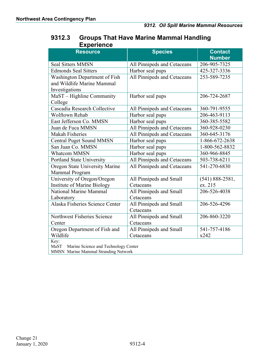### <span id="page-5-0"></span>**9312.3 Groups That Have Marine Mammal Handling Experience**

| <b>Resource</b>                              | <b>Species</b>              | <b>Contact</b>      |  |  |  |  |
|----------------------------------------------|-----------------------------|---------------------|--|--|--|--|
|                                              |                             | <b>Number</b>       |  |  |  |  |
| <b>Seal Sitters MMSN</b>                     | All Pinnipeds and Cetaceans | 206-905-7325        |  |  |  |  |
| <b>Edmonds Seal Sitters</b>                  | Harbor seal pups            | 425-327-3336        |  |  |  |  |
| Washington Department of Fish                | All Pinnipeds and Cetaceans | 253-589-7235        |  |  |  |  |
| and Wildlife Marine Mammal                   |                             |                     |  |  |  |  |
| Investigations                               |                             |                     |  |  |  |  |
| MaST - Highline Community                    | Harbor seal pups            | 206-724-2687        |  |  |  |  |
| College                                      |                             |                     |  |  |  |  |
| Cascadia Research Collective                 | All Pinnipeds and Cetaceans | 360-791-9555        |  |  |  |  |
| Wolftown Rehab                               | Harbor seal pups            | 206-463-9113        |  |  |  |  |
| East Jefferson Co. MMSN                      | Harbor seal pups            | 360-385-5582        |  |  |  |  |
| Juan de Fuca MMSN                            | All Pinnipeds and Cetaceans | 360-928-0230        |  |  |  |  |
| <b>Makah Fisheries</b>                       | All Pinnipeds and Cetaceans | 360-645-3176        |  |  |  |  |
| <b>Central Puget Sound MMSN</b>              | Harbor seal pups            | 1-866-672-2638      |  |  |  |  |
| San Juan Co. MMSN                            | Harbor seal pups            | 1-800-562-8832      |  |  |  |  |
| <b>Whatcom MMSN</b>                          | Harbor seal pups            | 360-966-8845        |  |  |  |  |
| Portland State University                    | All Pinnipeds and Cetaceans | 503-738-6211        |  |  |  |  |
| Oregon State University Marine               | All Pinnipeds and Cetaceans | 541-270-6830        |  |  |  |  |
| Mammal Program                               |                             |                     |  |  |  |  |
| University of Oregon/Oregon                  | All Pinnipeds and Small     | $(541) 888 - 2581,$ |  |  |  |  |
| Institute of Marine Biology                  | Cetaceans                   | ex. 215             |  |  |  |  |
| National Marine Mammal                       | All Pinnipeds and Small     | 206-526-4038        |  |  |  |  |
| Laboratory                                   | Cetaceans                   |                     |  |  |  |  |
| Alaska Fisheries Science Center              | All Pinnipeds and Small     | 206-526-4296        |  |  |  |  |
|                                              | Cetaceans                   |                     |  |  |  |  |
| Northwest Fisheries Science                  | All Pinnipeds and Small     | 206-860-3220        |  |  |  |  |
| Center                                       | Cetaceans                   |                     |  |  |  |  |
| Oregon Department of Fish and                | All Pinnipeds and Small     | 541-757-4186        |  |  |  |  |
| Wildlife                                     | Cetaceans                   | x242                |  |  |  |  |
| Key:                                         |                             |                     |  |  |  |  |
| MaST<br>Marine Science and Technology Center |                             |                     |  |  |  |  |
| MMSN Marine Mammal Stranding Network         |                             |                     |  |  |  |  |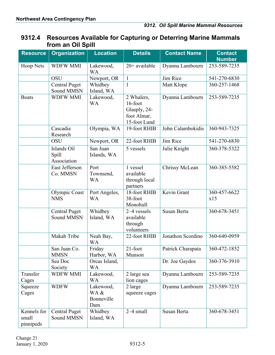#### <span id="page-6-0"></span>**9312.4 Resources Available for Capturing or Deterring Marine Mammals from an Oil Spill**

| <b>Resource</b>                   | <b>Organization</b>                       | <b>Location</b>                        | <b>Details</b>                                                       | <b>Contact Name</b> | <b>Contact</b><br><b>Number</b> |
|-----------------------------------|-------------------------------------------|----------------------------------------|----------------------------------------------------------------------|---------------------|---------------------------------|
| Hoop Nets                         | <b>WDFW MMI</b>                           | Lakewood,<br><b>WA</b>                 | $20+$ available                                                      | Dyanna Lambourn     | 253-589-7235                    |
|                                   | <b>OSU</b>                                | Newport, OR                            | $\mathbf{1}$                                                         | Jim Rice            | 541-270-6830                    |
|                                   | <b>Central Puget</b><br>Sound MMSN        | Whidbey<br>Island, WA                  | $\mathbf{1}$                                                         | Matt Klope          | 360-257-1468                    |
| <b>Boats</b>                      | <b>WDFW MMI</b>                           | Lakewood,<br><b>WA</b>                 | 2 Whalers,<br>16-foot<br>Glasply, 24-<br>foot Almar,<br>15-foot Lund | Dyanna Lambourn     | 253-589-7235                    |
|                                   | Cascadia<br>Research                      | Olympia, WA                            | 19-foot RHIB                                                         | John Calambokidis   | 360-943-7325                    |
|                                   | <b>OSU</b>                                | Newport, OR                            | 22-foot RHIB                                                         | Jim Rice            | 541-270-6830                    |
|                                   | Islands Oil<br>Spill<br>Association       | San Juan<br>Islands, WA                | 5 vessels                                                            | Julie Knight        | 360-378-5322                    |
|                                   | East Jefferson<br>Co. MMSN                | Port<br>Townsend,<br><b>WA</b>         | 1 vessel<br>available<br>through local<br>partners                   | Chrissy McLean      | 360-385-5582                    |
|                                   | Olympic Coast<br><b>NMS</b>               | Port Angeles,<br><b>WA</b>             | 18-foot RHIB<br>38-foot<br>Monohull                                  | Kevin Grant         | 360-457-6622<br>x15             |
|                                   | <b>Central Puget</b><br><b>Sound MMSN</b> | Whidbey<br>Island, WA                  | 2-4 vessels<br>available<br>through<br>volunteers                    | Susan Berta         | 360-678-3451                    |
|                                   | Makah Tribe                               | Neah Bay,<br><b>WA</b>                 | 22-foot RHIB                                                         | Jonathon Scordino   | 360-640-0959                    |
|                                   | San Juan Co.<br><b>MMSN</b>               | Friday<br>Harbor, WA                   | $21$ -foot<br>Munson                                                 | Patrick Charapata   | 360-472-1852                    |
|                                   | Sea Doc<br>Society                        | Orcas Island,<br><b>WA</b>             |                                                                      | Dr. Joe Gaydos      | 360-376-3910                    |
| Transfer<br>Cages                 | <b>WDFW MMI</b>                           | Lakewood,<br><b>WA</b>                 | 2 large sea<br>lion cages                                            | Dyanna Lambourn     | 253-589-7235                    |
| Squeeze<br>Cages                  | <b>WDFW</b>                               | Lakewood,<br>WA &<br>Bonneville<br>Dam | 2 large<br>squeeze cages                                             | Dyanna Lambourn     | 253-589-7235                    |
| Kennels for<br>small<br>pinnipeds | <b>Central Puget</b><br>Sound MMSN        | Whidbey<br>Island, WA                  | $2-4$ small                                                          | Susan Berta         | 360-678-3451                    |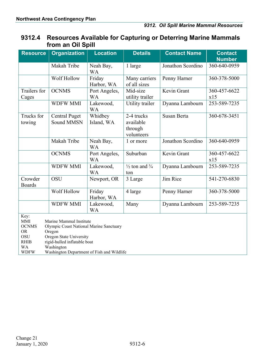#### **9312.4 Resources Available for Capturing or Deterring Marine Mammals from an Oil Spill**

| <b>Resource</b>                                                                                          | <b>Organization</b>                                                                                                                                                                                 | <b>Location</b>            | <b>Details</b>                                   | <b>Contact Name</b> | <b>Contact</b><br><b>Number</b> |
|----------------------------------------------------------------------------------------------------------|-----------------------------------------------------------------------------------------------------------------------------------------------------------------------------------------------------|----------------------------|--------------------------------------------------|---------------------|---------------------------------|
|                                                                                                          | Makah Tribe                                                                                                                                                                                         | Neah Bay,<br><b>WA</b>     | 1 large                                          | Jonathon Scordino   | 360-640-0959                    |
|                                                                                                          | Wolf Hollow                                                                                                                                                                                         | Friday<br>Harbor, WA       | Many carriers<br>of all sizes                    | Penny Harner        | 360-378-5000                    |
| Trailers for<br>Cages                                                                                    | <b>OCNMS</b>                                                                                                                                                                                        | Port Angeles,<br><b>WA</b> | Mid-size<br>utility trailer                      | Kevin Grant         | 360-457-6622<br>x15             |
|                                                                                                          | <b>WDFW MMI</b>                                                                                                                                                                                     | Lakewood,<br><b>WA</b>     | Utility trailer                                  | Dyanna Lambourn     | 253-589-7235                    |
| Trucks for<br>towing                                                                                     | <b>Central Puget</b><br><b>Sound MMSN</b>                                                                                                                                                           | Whidbey<br>Island, WA      | 2-4 trucks<br>available<br>through<br>volunteers | Susan Berta         | 360-678-3451                    |
|                                                                                                          | Makah Tribe                                                                                                                                                                                         | Neah Bay,<br><b>WA</b>     | 1 or more                                        | Jonathon Scordino   | 360-640-0959                    |
|                                                                                                          | <b>OCNMS</b>                                                                                                                                                                                        | Port Angeles,<br><b>WA</b> | Suburban                                         | Kevin Grant         | 360-457-6622<br>x15             |
|                                                                                                          | <b>WDFW MMI</b>                                                                                                                                                                                     | Lakewood,<br><b>WA</b>     | $\frac{1}{2}$ ton and $\frac{3}{4}$<br>ton       | Dyanna Lambourn     | 253-589-7235                    |
| Crowder<br><b>Boards</b>                                                                                 | OSU                                                                                                                                                                                                 | Newport, OR                | 3 Large                                          | Jim Rice            | 541-270-6830                    |
|                                                                                                          | Wolf Hollow                                                                                                                                                                                         | Friday<br>Harbor, WA       | 4 large                                          | Penny Harner        | 360-378-5000                    |
|                                                                                                          | <b>WDFW MMI</b>                                                                                                                                                                                     | Lakewood,<br><b>WA</b>     | Many                                             | Dyanna Lambourn     | 253-589-7235                    |
| Key:<br><b>MMI</b><br><b>OCNMS</b><br><b>OR</b><br><b>OSU</b><br><b>RHIB</b><br><b>WA</b><br><b>WDFW</b> | Marine Mammal Institute<br>Olympic Coast National Marine Sanctuary<br>Oregon<br>Oregon State University<br>rigid-hulled inflatable boat<br>Washington<br>Washington Department of Fish and Wildlife |                            |                                                  |                     |                                 |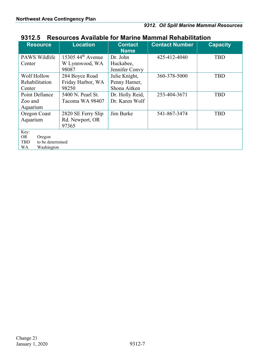#### <span id="page-8-0"></span>**9312.5 Resources Available for Marine Mammal Rehabilitation**

| <b>Resource</b>                             | <b>Location</b>     | <b>Contact</b><br><b>Name</b>   | <b>Contact Number</b> | <b>Capacity</b> |  |  |
|---------------------------------------------|---------------------|---------------------------------|-----------------------|-----------------|--|--|
| <b>PAWS Wildlife</b>                        | 15305 $44th$ Avenue | Dr. John                        | 425-412-4040          | <b>TBD</b>      |  |  |
| Center                                      | W Lynnwood, WA      | Huckabee,                       |                       |                 |  |  |
|                                             | 98087               | Jennifer Convy                  |                       |                 |  |  |
| Wolf Hollow                                 | 284 Boyce Road      | Julie Knight,                   | 360-378-5000          | <b>TBD</b>      |  |  |
| Rehabilitation                              | Friday Harbor, WA   | Penny Harner,                   |                       |                 |  |  |
| Center                                      | 98250               | Shona Aitken                    |                       |                 |  |  |
| Point Defiance                              | 5400 N. Pearl St.   | Dr. Holly Reid,<br>253-404-3671 |                       | <b>TBD</b>      |  |  |
| Zoo and                                     | Tacoma WA 98407     | Dr. Karen Wolf                  |                       |                 |  |  |
| Aquarium                                    |                     |                                 |                       |                 |  |  |
| Oregon Coast                                | 2820 SE Ferry Slip  | Jim Burke                       | 541-867-3474          | <b>TBD</b>      |  |  |
| Aquarium                                    | Rd. Newport, OR     |                                 |                       |                 |  |  |
|                                             | 97365               |                                 |                       |                 |  |  |
| Key:                                        |                     |                                 |                       |                 |  |  |
| <b>OR</b><br>Oregon                         |                     |                                 |                       |                 |  |  |
| to be determined<br>TBD<br>Washington<br>WA |                     |                                 |                       |                 |  |  |
|                                             |                     |                                 |                       |                 |  |  |